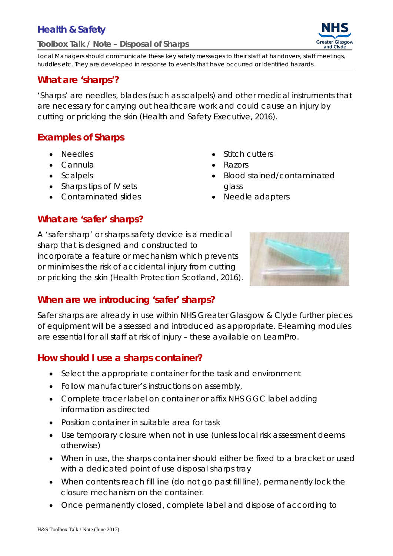# **Health & Safety**

#### **Toolbox Talk / Note – Disposal of Sharps**

Local Managers should communicate these key safety messages to their staff at handovers, staff meetings, huddles etc. They are developed in response to events that have occurred or identified hazards.

#### **What are 'sharps'?**

'Sharps' are needles, blades (such as scalpels) and other medical instruments that are necessary for carrying out healthcare work and could cause an injury by cutting or pricking the skin (Health and Safety Executive, 2016).

## **Examples of Sharps**

- Needles
- Cannula
- Scalpels
- Sharps tips of IV sets
- Contaminated slides
- Stitch cutters
- Razors
- Blood stained/contaminated glass
- Needle adapters

#### **What are 'safer' sharps?**

A 'safer sharp' or sharps safety device is a medical sharp that is designed and constructed to incorporate a feature or mechanism which prevents or minimises the risk of accidental injury from cutting or pricking the skin (Health Protection Scotland, 2016).



## **When are we introducing 'safer' sharps?**

Safer sharps are already in use within NHS Greater Glasgow & Clyde further pieces of equipment will be assessed and introduced as appropriate. E-learning modules are essential for all staff at risk of injury – these available on LearnPro.

## **How should I use a sharps container?**

- Select the appropriate container for the task and environment
- Follow manufacturer's instructions on assembly,
- Complete tracer label on container or affix NHS GGC label adding information as directed
- Position container in suitable area for task
- Use temporary closure when not in use (unless local risk assessment deems otherwise)
- When in use, the sharps container should either be fixed to a bracket or used with a dedicated point of use disposal sharps tray
- When contents reach fill line (do not go past fill line), permanently lock the closure mechanism on the container.
- Once permanently closed, complete label and dispose of according to